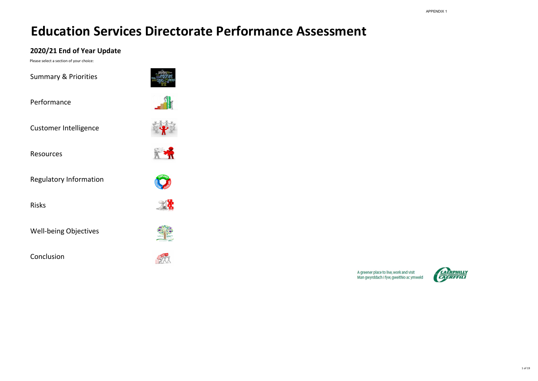# **2020/21 End of Year Update**

Please select a section of your choice:

Performance

Customer Intelligence

Resources

[Regulatory Information](#page-12-0)

Risks

Well-being Objectives

Conclusion

















Summary & Priorities

A greener place to live, work and visit<br>Man gwyrddach i fyw, gweithio ac ymweld

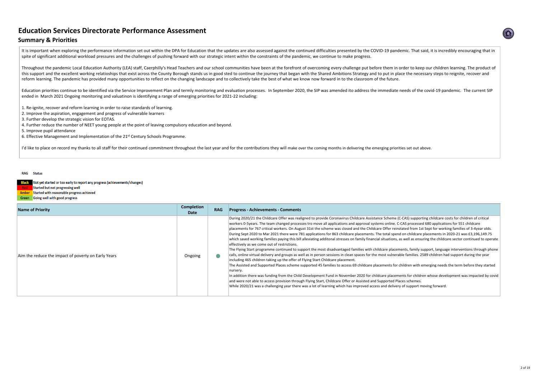# **Summary & Priorities**

It is important when exploring the performance information set out within the DPA for Education that the updates are also assessed against the continued difficulties presented by the COVID-19 pandemic. That said, it is inc spite of significant additional workload pressures and the challenges of pushing forward with our strategic intent within the constraints of the pandemic, we continue to make progress.

| <b>Name of Priority</b>                             | <b>Completion</b><br><b>Date</b> | <b>RAG</b> | <b>Progress - Achievements - Comments</b>                                                                                                                                                                                                                                                                                                                                                                                                                                                                                                                                                                                                       |
|-----------------------------------------------------|----------------------------------|------------|-------------------------------------------------------------------------------------------------------------------------------------------------------------------------------------------------------------------------------------------------------------------------------------------------------------------------------------------------------------------------------------------------------------------------------------------------------------------------------------------------------------------------------------------------------------------------------------------------------------------------------------------------|
| Aim the reduce the impact of poverty on Early Years | Ongoing                          |            | During 2020/21 the Childcare Offer was real<br>workers 0-5years. The team changed proces<br>placements for 767 critical workers. On Augo<br>During Sept 2020 to Mar 2021 there were 7<br>which saved working families paying this bill<br>effectively as we come out of restrictions.<br>The Flying Start programme continued to su<br>calls, online virtual delivery and groups as we<br>including 465 children taking up the offer of<br>The Assisted and Supported Places scheme s<br>nursery.<br>In addition there was funding from the Child<br>and were not able to access provision throug<br>While 2020/21 was a challenging year there |



ligned to provide Coronavirus Childcare Assistance Scheme (C-CAS) supporting childcare costs for children of critical sses tro move all applications and approval systems online. C-CAS processed 680 applications for 551 childcare ust 31st the scheme was closed and the Childcare Offer reinstated from 1st Sept for working families of 3-4year olds. 81 applications for 863 childcare placements. The total spend on childcare placements in 2020-21 was £3,196,149.75 l alleviating additonal stresses on family financial situations, as well as ensuring the childcare sector continued to operate

Ipport the most disadvantaged families with childcare placements, family support, language interventions through phone rell as in person sessions in clean spaces for the most vulnerable families. 2589 children had support during the year **Filying Start Childcare placement.** 

supported 45 families to access 69 childcare placements for children with emerging needs the term before they started

I Development Fund in November 2020 for childcare placements for children whose development was impacted by covid gh Flying Start, Childcare Offer or Assisted and Supported Places schemes.

was a lot of learning which has improved access and delivery of support moving forward.

Throughout the pandemic Local Education Authority (LEA) staff, Caerphilly's Head Teachers and our school communities have been at the forefront of overcoming every challenge put before them in order to keep our children le this support and the excellent working relatioships that exist across the County Borough stands us in good sted to continue the journey that began with the Shared Ambitions Strategy and to put in place the necessary steps reform learning. The pandemic has provided many opportunities to reflect on the changing landscape and to collectively take the best of what we know now forward in to the classroom of the future.

Education priorities continue to be identified via the Service Improvement Plan and termly monitoring and evaluation processes. In September 2020, the SIP was amended ito address the immediate needs of the covid-19 pandemi ended in March 2021 Ongoing monitoring and valuatinon is identifying a range of emerging priorities for 2021-22 including:

- 1. Re-ignite, recover and reform learning in order to raise standards of learning.
- 2. Improve the aspiration, engagement and progress of vulnerable learners
- 3. Further develop the strategic vision for EOTAS.
- 4. Further reduce the number of NEET young people at the point of leaving compulsory education and beyond.
- 5. Improve pupil attendance
- 6. Effective Management and Implementation of the 21<sup>st</sup> Century Schools Programme.

I'd like to place on record my thanks to all staff for their continued commitment throughout the last year and for the contributions they will make over the coming months in delivering the emerging priorities set out above

### RAG Status

Not yet started or too early to report any progress (achievements/changes) Started but not progressing well **Red** Amber Started with reasonable progress achieved Green Going well with good progress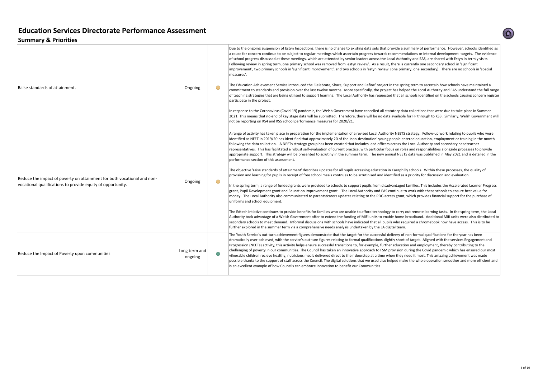# **Summary & Priorities**

| Raise standards of attainment.                                                                                                         | Ongoing                  | Due to the ongoing suspension of Estyn Insp<br>a cause for concern continue to be subject t<br>of school progress discussed at these meeti<br>Following review in spring term, one primar<br>improvement', two primary schools in 'signi<br>measures'.<br>The Education Achievement Service introdu<br>commitment to standards and provision ove<br>of teaching strategies that are being utilised<br>participate in the project.<br>In response to the Coronavirus (Covid-19) p<br>2021. This means that no end of key stage o<br>not be reporting on KS4 and KS5 school per                                                                                                                                                                                   |
|----------------------------------------------------------------------------------------------------------------------------------------|--------------------------|-----------------------------------------------------------------------------------------------------------------------------------------------------------------------------------------------------------------------------------------------------------------------------------------------------------------------------------------------------------------------------------------------------------------------------------------------------------------------------------------------------------------------------------------------------------------------------------------------------------------------------------------------------------------------------------------------------------------------------------------------------------------|
| Reduce the impact of poverty on attainment for both vocational and non-<br>vocational qualifications to provide equity of opportunity. | Ongoing                  | A range of activity has taken place in prepar<br>identified as NEET in 2019/20 has identified<br>following the data collection. A NEETs strat<br>representatives. This has facilitated a robus<br>appropriate support. This strategy will be p<br>performance section of this assessment.<br>The objective 'raise standards of attainment<br>provision and learning for pupils in receipt o<br>In the spring term, a range of funded grants<br>grant, Pupil Development grant and Educati<br>money. The Local Authority also communic<br>uniforms and school equipment.<br>The Edtech intiative continues to provide be<br>Authority took advantage of a Welsh Gover<br>secondary schools to meet demand. Inform<br>further explored in the summer term via a c |
| Reduce the Impact of Poverty upon communities                                                                                          | Long term and<br>ongoing | The Youth Service's out-turn achievement fi<br>dramatically over-achieved, with the service<br>Progression (NEETs) activity, this activity hel<br>chellenging of poverty in our communities.<br>vilnerable children recieve healthy, nutricio<br>possible thanks to the support of staff acros<br>is an excellent example of how Councils can                                                                                                                                                                                                                                                                                                                                                                                                                   |

pections, there is no change to existing data sets that provide a summary of performance. However, schools identified as to regular meetings which ascertain progress towards recommendations or internal development targets. The evidence ings, which are attended by senior leaders across the Local Authority and EAS, are shared with Estyn in termly visits. ry school was removed from 'estyn review'. As a result, there is currently one secondary school in 'significant ificant improvement', and two schools in 'estyn review' (one primary, one secondary). There are no schools in 'special

uced the 'Celebrate, Share, Support and Refine' project in the spring term to ascertain how schools have maintained a ver the last twelve months. More specifically, the project has helped the Local Authority and EAS understand the full range d to support learning. The Local Authority has requested that all schools identified on the schools causing concern register

bandemic, the Welsh Government have cancelled all statutory data collections that were due to take place in Summer data will be submitted. Therefore, there will be no data available for FP through to KS3. Similarly, Welsh Government will rformance measures for 2020/21.

ration for the implementation of a revised Local Authority NEETS strategy. Follow-up work relating to pupils who were I that approximately 20 of the 'non-destination' young people entered education, employment or training in the month ategy group has been created that includes lead officers across the Local Authority and secondary headteacher ist self-evaluation of current practice, with particular focus on roles and responsibilities alongside processes to provide presented to scrutiny in the summer term. The new annual NEETS data was published in May 2021 and is detailed in the

It' describes updates for all pupils accessing education in Caerphilly schools. Within these processes, the quality of of free school meals contnues to be scrutinised and identified as a priority for discussion and evaluation.

were provided to schools to support pupils from disadvantaged families. This includes the Accelerated Learner Progress tion Improvement grant. The Local Authority and EAS continue to work with these schools to ensure best value for cated to parents/carers updates relating to the PDG access grant, which provides financial support for the purchase of

enefits for families who are unable to afford technology to carry out remote learning tasks. In the spring term, the Local rnment offer to extend the funding of MiFi units to enable home broadband. Additional Mifi units were also distributed to  $|$ nal discussions with schools have indicated that all pupils who required a chromebook now have access. This is to be comprehensive needs analysis undertaken by the LA digital team.

igures demonstrate that the target for the successful delivery of non-formal qualifications for the year has been e's out-turn figures relating to formal qualifications slightly short of target. Aligned with the services Engagement and Progression (Neets) and the successful transitions to, for example, further education and employment, thereby contributing to the The Council has taken an innovative approach to FSM provision during the Covid pandemic which has ensured our most bus meals delivered direct to their doorstep at a time when they need it most. This amazing achievement was made bss the Council. The digital solutions that we used also helped make the whole operation smoother and more efficient and embrace innovation to benefit our Communities

n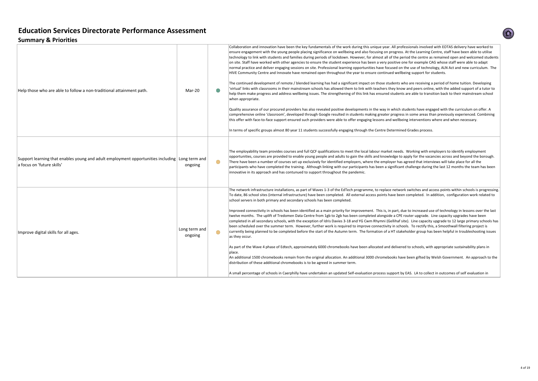# **Summary & Priorities**

| Help those who are able to follow a non-traditional attainment path.                                           | Mar-20                   |            | Collaboration and innovation have been the key fund<br>ensure engagement with the young people placing si<br>technology to link with students and families during<br>on site. Staff have worked with other agencies to ens<br>normal practice and deliver engaging sessions on site<br>HIVE Community Centre and Innovate have remained<br>The continued development of remote / blended lea<br>'virtual' links with classrooms in their mainstream sch<br>help them make progress and address wellbeing issu<br>when appropriate.<br>Quality assurance of our procured providers has also<br>comprehensive online 'classroom', developed throug<br>this offer with face-to-face support ensured such pro<br>In terms of specific groups almost 80 year 11 student |
|----------------------------------------------------------------------------------------------------------------|--------------------------|------------|--------------------------------------------------------------------------------------------------------------------------------------------------------------------------------------------------------------------------------------------------------------------------------------------------------------------------------------------------------------------------------------------------------------------------------------------------------------------------------------------------------------------------------------------------------------------------------------------------------------------------------------------------------------------------------------------------------------------------------------------------------------------|
| Support learning that enables young and adult employment opportunities including<br>a focus on 'future skills' | Long term and<br>ongoing | $\bigcirc$ | The employability team provides courses and full QC<br>opportunities, courses are provided to enable young<br>There have been a number of courses set up exclusiv<br>participants who have completed the training. Altho<br>innovative in its approach and has contunued to supp                                                                                                                                                                                                                                                                                                                                                                                                                                                                                   |
| Improve digital skills for all ages.                                                                           | Long term and<br>ongoing | $($ )      | The network infrastructure installations, as part of W<br>To date, 86 school sites (internal infrastructure) have<br>school servers in both primary and secondary school:<br>Improved connectivity in schools has been identified<br>twelve months. The uplift of Tredomen Data Centre<br>completed in all secondary schools, with the exception<br>been scheduled over the summer term. However, fu<br>currently being planned to be completed before the<br>as they occur.<br>As part of the Wave 4 phase of Edtech, approximatel<br>place.<br>An additional 1500 chromebooks remain from the or<br>distribution of these additional chromebooks is to be<br>A small percentage of schools in Caerphilly have unde                                               |

Examin and innovation and incollaboration and includation have the key fundamentals of the worked to the key fundamentals of the worked to this unique year. All professionals involved with EOTAS delivery have worked to placing significance on wellbeing and also focusing on progress. At the Learning Centre, staff have been able to utilise es during periods of lockdown. However, for almost all of the period the centre as remained open and welcomed students cies to ensure the student experience has been a very positive one for example CAG whose staff were able to adapt ons on site. Professional learning opportunities have focused on the use of technology, ALN Act and new curriculum. The exemained open throughout the year to ensure continued wellbeing support for students.

ended learning has had a significant impact on those students who are receiving a period of home tuition. Developing stream schools has allowed them to link with teachers they know and peers online, with the added support of a tutor to being issues. The strengthening of this link has ensured students are able to transition back to their mainstream school

s has also revealed positive developments in the way in which students have engaged with the curriculum on offer. A ed through Google resulted in students making greater progress in some areas than previously experienced. Combining such providers were able to offer engaging lessons and wellbeing interventions where and when necessary.

11 students successfully engaging through the Centre Determined Grades process.

nd full QCF qualifications to meet the local labour market needs. Working with employers to identify employment ble young people and adults to gain the skills and knowledge to apply for the vacancies across and beyond the borough. Ip exclusively for identified employers, where the employer has agreed that interviews will take place for all the ing. Although linking with our participants has been a significant challenge during the last 12 months the team has been ied to support throughout the pandemic.

part of Waves 1-3 of the EdTech programme, to replace network switches and access points within schools is progressing. ture) have been completed. All external access points have been completed. In addition, configuration work related to ary schools has been completed.

identified as a main priority for improvement. This is, in part, due to increased use of technology in lessons over the last ta Centre from 1gb to 2gb has been completed alongside a CPE router upgrade. Line capacity upgrades have been e exception of Idris Davies 3-18 and YG Cwm Rhymni (Gellihaf site). Line capacity upgrade to 12 large primary schools has owever, further work is required to improve connectivity in schools. To rectify this, a Smoothwall filtering project is efore the start of the Autumn term. The formation of a HT stakeholder group has been helpful in troubleshooting issues

roximately 6000 chromebooks have been allocated and delivered to schools, with appropriate sustainability plans in

om the original allocation. An additional 3000 chromebooks have been gifted by Welsh Government. An approach to the lks is to be agreed in summer term.

have undertaken an updated Self-evaluation process support by EAS. LA to collect in outcomes of self evaluation in

10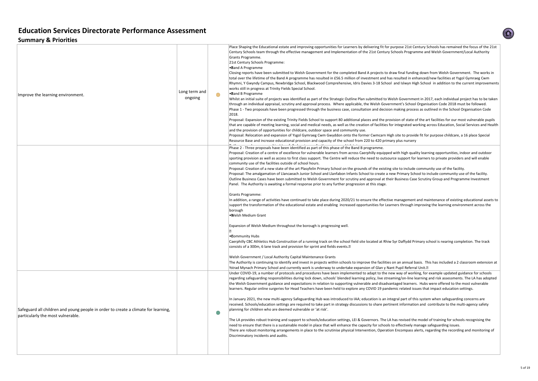# **Summary & Priorities**

| Improve the learning environment.                                                                                       | Long term and<br>ongoing | Place Shaping the Educational estate and im<br>Century Schools team through the effective<br>Grants Programme.<br>21st Century Schools Programme:<br>•Band A Programme<br>Closing reports have been submitted to We<br>total over the lifetime of the Band A prograr<br>Rhymni, Y Gwyndy Campus, Newbridge Scho<br>works still in progress at Trinity Fields Specia<br>•Band B Programme<br>Whilst an initial suite of projects was identif<br>through an individual appraisal, scrutiny and<br>Phase 1 - Two proposals have been progress<br>2018.<br>Proposal: Expansion of the existing Trinity F<br>that are capable of meeting learning, social<br>and the provision of opportunities for childo<br>Proposal: Relocation and expansion of Ysgol<br>Resource Base and increase educational pro                 |
|-------------------------------------------------------------------------------------------------------------------------|--------------------------|--------------------------------------------------------------------------------------------------------------------------------------------------------------------------------------------------------------------------------------------------------------------------------------------------------------------------------------------------------------------------------------------------------------------------------------------------------------------------------------------------------------------------------------------------------------------------------------------------------------------------------------------------------------------------------------------------------------------------------------------------------------------------------------------------------------------|
|                                                                                                                         |                          | Phase 2 - Three proposals have been identif<br>Proposal: Creation of a centre of excellence<br>sporting provision as well as access to first o<br>community use of the facilities outside of so<br>Proposal: Creation of a new state of the art<br>Proposal: The amalgamation of Llancaeach J<br>Outline Business Cases have been submitted<br>Panel. The Authority is awaiting a formal re<br>Grants Programme:<br>In addition, a range of activities have contin<br>support the transformation of the education<br>borough<br>• Welsh Medium Grant<br>Expansion of Welsh Medium throughout the<br>• Community Hubs<br>Caerphilly CBC Athletics Hub Construction o<br>consists of a 300m, 6 lane track and provisio<br>Welsh Government / Local Authority Capita<br>The Authority is continuing to identify and i |
| Safeguard all children and young people in order to create a climate for learning,<br>particularly the most vulnerable. |                          | Ystrad Mynach Primary School and currently<br>Under COVID-19, a number of protocols and<br>regarding safeguarding responsibilities durir<br>the Welsh Government guidance and expec<br>learners. Regular online surgeries for Head<br>In January 2021, the new multi-agency Safe<br>received. Schools/education settings are red<br>planning for children who are deemed vulne<br>The LA provides robust training and support<br>need to ensure that there is a sustainable m<br>There are robust monitoring arrangements<br>Discriminatory incidents and audits.                                                                                                                                                                                                                                                  |

proving opportunities for Learners by delivering fit for purpose 21st Century Schools has remained the focus of the 21st management and Implementation of the 21st Century Schools Programme and Welsh Government/Local Authority

Ish Government for the completed Band A projects to draw final funding down from Welsh Government. The works in mme has resulted in £56.5 million of investment and has resulted in enhanced/new facilities at Ysgol Gymraeg Cwm ool, Blackwood Comprehensive, Idris Davies 3-18 School and Islwyn High School in addition to the current improvements al School.

fied as part of the Strategic Outline Plan submitted to Welsh Government in 2017, each individual project has to be taken d approval process. Where applicable, the Welsh Government's School Organisation Code 2018 must be followed. sed through the business case, consultation and decision making process as outlined in the School Organisation Code

ields School to support 80 additional places and the provision of state of the art facilities for our most vulnerable pupils I and medical needs, as well as the creation of facilities for integrated working across Education, Social Services and Health care, outdoor space and community use.

I Gymraeg Cwm Gwyddon onto the former Cwmcarn High site to provide fit for purpose childcare, a 16 place Special wision and capacity of the school from 220 to 420 primary plus nursery

fied as part of this phase of the Band B programme.

for vulnerable learners from across Caerphilly equipped with high quality learning opportunities, indoor and outdoor class support. The Centre will reduce the need to outsource support for learners to private providers and will enable chool hours.

: Plasyfelin Primary School on the grounds of the existing site to include community use of the facility.

Junior School and Llanfabon Infants School to create a new Primary School to include community use of the facility. od to Welsh Government for scrutiny and approval at their Business Case Scrutiny Group and Programme Investment esponse prior to any further progression at this stage.

ued to take place during 2020/21 to ensure the effective management and maintenance of existing educational assets to nal estate and enabling increased opportunities for Learners through improving the learning environment across the

e borough is progressing well.

of a running track on the school field site located at Rhiw Syr Daffydd Primary school is nearing completion. The track on for sprint and fields events. $\mathbb D$ 

### l Maintenance Grants

nvest in projects within schools to improve the facilities on an annual basis. This has included a 2 classroom extension at I work is underway to undertake expansion of Glan y Nant Pupil Referral Unit.<sup>[2]</sup>

d procedures have been implemented to adapt to the new way of working, for example updated guidance for schools ng lock down, schools' blended learning policy, live streaming/on-line learning and risk assessments. The LA has adopted tations in relation to supporting vulnerable and disadvantaged learners. Hubs were offered to the most vulnerable Teachers have been held to explore any COVID 19 pandemic related issues that impact education settings.

guarding Hub was introduced to IAA; education is an integral part of this system when safeguarding concerns are quired to take part in strategy discussions to share pertinent information and contribute to the multi-agency safety erable or 'at risk'.

to schools/education settings, LEI & Governors. The LA has revised the model of training for schools recognising the nodel in place that will enhance the capacity for schools to effectively manage safeguarding issues. in place to the scrutinise physical Intervention, Operation Encompass alerts, regarding the recording and monitoring of 10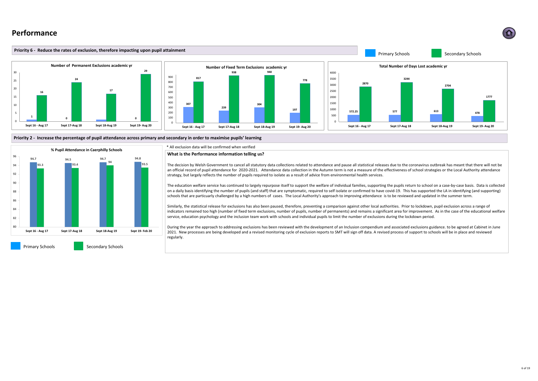\* All exclusion data will be confirmed when verified

# **Performance**





# **What is the Performance information telling us?**

The decision by Welsh Government to cancel all statutory data collections related to attendance and pause all statistical releases due to the coronavirus outbreak has meant that there will not be an official record of pupil attendance for 2020-2021. Attendance data collection in the Autumn term is not a measure of the effectiveness of school strategies or the Local Authority attendance strategy, but largely reflects the number of pupils required to isolate as a result of advice from environmental health services.

The education welfare service has continued to largely repurpose itself to support the welfare of individual families, supporting the pupils return to school on a case-by-case basis. Data is collected on a daily basis identifying the number of pupils (and staff) that are symptomatic, required to self isolate or confirmed to have covid-19. This has supported the LA in identifying (and supporting) schools that are particuarly challenged by a high numbers of cases. The Local Authority's approach to improving attendance is to be reviewed and updated in the summer term.

Similarly, the statistical release for exclusions has also been paused, therefore, preventing a comparison against other local authorities. Prior to lockdown, pupil exclusion across a range of indicators remained too high (number of fixed term exclusions, number of pupils, number of permanents) and remains a significant area for improvement. As in the case of the educational welfare service, education psychology and the inclusion team work with schools and individual pupils to limit the number of exclusions during the lockdown period.

During the year the approach to addressing exclusions has been reviewed with the development of an Inclusion compendium and associated exclusions guidance. to be agreed at Cabinet in June 2021. New processes are being developed and a revised monitoring cycle of exclusion reports to SMT will sign off data. A revised process of support to schools will be in place and reviewed regularly.

Primary Schools **Secondary Schools**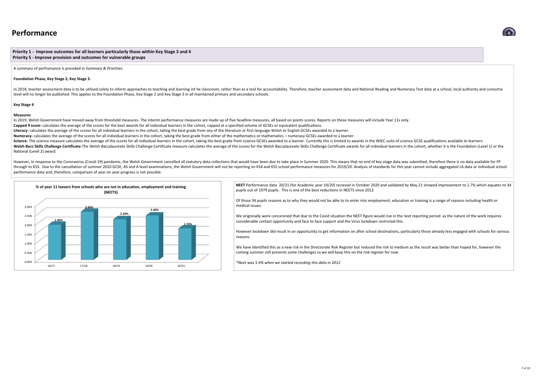# **Performance**

**Priority 1 - Improve outcomes for all learners particularly those within Key Stage 3 and 4 Priority 5 - Improve provision and outcomes for vulnerable groups** 

A summary of perfromance is provided in *Summary & Priorities.*

### **Foundation Phase, Key Stage 2, Key Stage 3.**

In 2018, teacher assessment data is to be utilised solely to inform approaches to teaching and learning int he classroom, rather than as a tool for accountability. Therefore, teacher assessment data and National Reading an level will no longer be published. This applies to the Foundation Phase, Key Stage 2 and Key Stage 3 in all maintained primary and secondary schools.

### **Key Stage 4**

### **Measures**

However, In response to the Coronavirus (Covid-19) pandemic, the Welsh Government cancelled all statutory data collections that would have been due to take place in Summer 2020. This means that no end of key stage data was through to KS3. Due to the cancellation of summer 2020 GCSE, AS and A level examinations, the Welsh Government will not be reporting on KS4 and KS5 school performance measures for 2019/20. Analysis of standards for this ye performance data and, therefore, comparison of year on year progress is not possible.

In 2019, Welsh Government have moved away from threshold measures. The interim performance measures are made up of five headline measures, all based on points scores. Reports on these measures will include Year 11s only. Capped 9 score- calculates the average of the scores for the best awards for all individual learners in the cohort, capped at a specified volume of GCSEs or equivalent qualifications. Literacy- calculates the average of the scores for all individual learners in the cohort, taking the best grade from any of the literature or first language Welsh or English GCSEs awarded to a learner. **Numeracy-** calculates the average of the scores for all individual learners in the cohort, taking the best grade from either of the mathematics or mathematics – numeracy GCSEs awarded to a learner. Science- The science measure calculates the average of the scores for all individual learners in the cohort, taking the best grade from science GCSEs awarded to a learner. Currently this is limited to awards in the WJEC su Welsh Bacc Skills Challenge Certificate-The Welsh Baccalaureate Skills Challenge Certificate measure calculates the average of the scores for the Welsh Baccalaureate Skills Challenge Certificate awards for all individual l National (Level 2) award.

> **NEET** Performance data 20/21 (for Academic year 19/20) recieved in October 2020 and validated by May 21 showed improvement to 1.7% which equates to 34 pupils out of 1979 pupils. This is one of the best reductions in NEETS since 2012

Of those 34 pupils reasons as to why they would not be able to to enter into employment, education or training is a range of reasons including health or

We origninally were concerened that due to the Covid situation the NEET figure would rise in the next reporting period as the nature of the work requires considerable contact opportunity and face to face support and the Virus lockdown restricted this.

However lockdown did result in an opportunity to get information on after school destinations, particularly those already less engaged with schools for various





We have identified this as a new risk in the Directorate Risk Register but reduced the risk to medium as the result was better than hoped for, however the coming summer still presents some challenges so we will keep this on the risk register for now.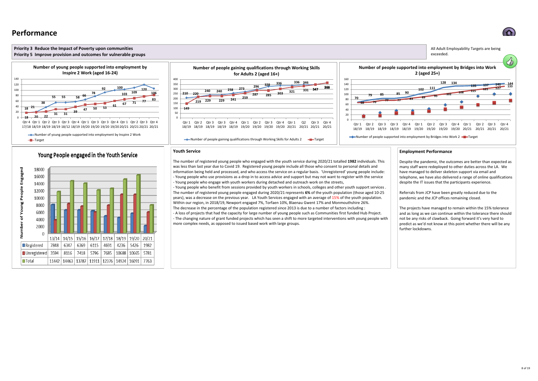# **Performance**

2000

 $\Box$  Registered

 $\Box$  Total

 $\Box$  Unregistered

 $13/14$ 

7848

 $|3594$ 

6347

8116

| 14/15 | 15/16 | 16/17 | 17/18 | 18/19 | 19/20 | 20/21

 $|4691$ 

7418 5796 7685 10688 10665

 $4236$  5426

1982

 $|5781$ 

7763

 $6115$ 

11442 | 14463 | 13787 | 11911 | 12376 | 14924 | 16091

6369

È

Ē







predict as we'd not know at this point whether there will be any further lockdowns.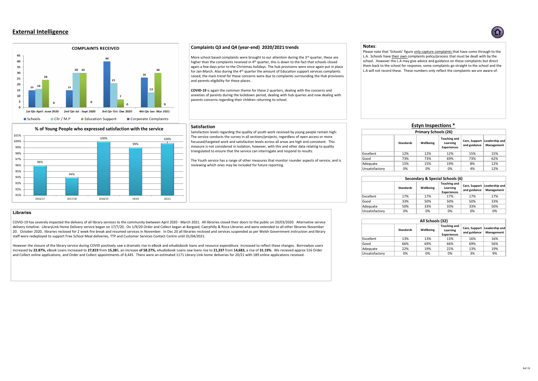

| Secondary & Special Schools (6) |                  |           |                                                              |                               |                             |  |  |  |  |  |
|---------------------------------|------------------|-----------|--------------------------------------------------------------|-------------------------------|-----------------------------|--|--|--|--|--|
|                                 | <b>Standards</b> | Wellbeing | <b>Teaching and</b><br><b>Learning</b><br><b>Experiences</b> | Care, Support<br>and guidance | Leadershi<br><b>Manager</b> |  |  |  |  |  |
| Excellent                       | 17%              | 17%       | 17%                                                          | 17%                           | 17%                         |  |  |  |  |  |
| Good                            | 33%              | 50%       | 50%                                                          | 50%                           | 33%                         |  |  |  |  |  |
| Adequate                        | 50%              | 33%       | 33%                                                          | 33%                           | 50%                         |  |  |  |  |  |
| Unsatisfactory                  | 0%               | 0%        | 0%                                                           | 0%                            | 0%                          |  |  |  |  |  |

| All Schools (32) |                  |                  |                                                       |                               |                             |  |  |  |  |
|------------------|------------------|------------------|-------------------------------------------------------|-------------------------------|-----------------------------|--|--|--|--|
|                  | <b>Standards</b> | <b>Wellbeing</b> | <b>Teaching and</b><br>Learning<br><b>Experiences</b> | Care, Support<br>and guidance | Leadershi<br><b>Manager</b> |  |  |  |  |
| Excellent        | 13%              | 13%              | 13%                                                   | 16%                           | 16%                         |  |  |  |  |
| Good             | 66%              | 69%              | 66%                                                   | 69%                           | 56%                         |  |  |  |  |
| Adequate         | 22%              | 19%              | 22%                                                   | 13%                           | 19%                         |  |  |  |  |
| Unsatisfactory   | 0%               | 0%               | 0%                                                    | 3%                            | 9%                          |  |  |  |  |

More school based complaints were brought to our attention during the 3<sup>rd</sup> quarter, these are higher than the complaints received in  $4<sup>th</sup>$  quarter, this is down to the fact that schools closed again a few days prior to the Christmas holidays. The hub provisions were once again put in place for Jan-March. Also during the 4<sup>th</sup> quarter the amount of Education support services complaints raised, the main trend for these concerns were due to complaints surrounding the Hub provisions and parents eligibility for these places.

# **External Intelligence**



# **Complaints Q3 and Q4 (year-end) 2020/2021 trends**

Please note that 'Schools' figure only capture complaints that have come through to the L.A. Schools have their own complaints policy/process that must be dealt with by the school. However the L.A may give advice and guidance on these complaints but direct them back to the school for response, some complaints go straight to the school and the L.A will not record these. These numbers only reflect the complaints we are aware of.

| <b>Estyn Inspections *</b>  |                  |           |                                                       |                               |                             |  |  |  |  |
|-----------------------------|------------------|-----------|-------------------------------------------------------|-------------------------------|-----------------------------|--|--|--|--|
| <b>Primary Schools (26)</b> |                  |           |                                                       |                               |                             |  |  |  |  |
|                             | <b>Standards</b> | Wellbeing | <b>Teaching and</b><br>Learning<br><b>Experiences</b> | Care, Support<br>and guidance | Leadershi<br><b>Manager</b> |  |  |  |  |
| Excellent                   | 12%              | 12%       | 12%                                                   | 15%                           | 15%                         |  |  |  |  |
| Good                        | 73%              | 73%       | 69%                                                   | 73%                           | 62%                         |  |  |  |  |
| Adequate                    | 15%              | 15%       | 19%                                                   | 8%                            | 12%                         |  |  |  |  |
| Unsatisfactory              | 0%               | 0%        | 0%                                                    | 4%                            | 12%                         |  |  |  |  |

**COVID-19** is again the common theme for these 2 quarters, dealing with the concerns and anxieties of parents during the lockdown period, dealing with hub queries and now dealing with parents concerns regarding their children returning to school.

### **Notes**:

# **Satisfaction**

Satisfaction levels regarding the quality of youth work received by young people remain high: The service conducts the survey in all sections/projects, regardless of open access or more focussed/targeted work and satisfaction levels across all areas are high and consistent. This measure is not considered in isolation, however, with this and other data relating to quality triangulated to ensure that the service can interrogate and respond to results.

The Youth service has a range of other measures that monitor rounder aspects of service, and is reviewing which ones may be included for future reporting.

# **Libraries**

COVID-19 has severely impacted the delivery of all library services to the community bwtween April 2020 - March 2021. All libraries closed their doors to the public on 20/03/2020. Alternative service delivery timeline: LibraryLink Home Delivery service began on 17/7/20. On 1/9/20 Order and Collect began at Bargoed, Caerphilly & Risca Libraries and were extended to all other libraries November 20. October 2020, libraries reclosed for 2 week fire break and resumed services in November. In Dec 20 all libraries reclosed and services suspended as per Welsh Government instruction and library staff were redeployed to support Free School Meal deliveries, TTP and Customer Services Contact Centre until 01/04/2021.

However the closure of the library service during COVID positively saw a dramatic rise in eBook and eAudiobook loans and resource expenditure increased to reflect these changes. Borrowbox users increased by 22.87%, eBook Loans increased to 27,819 from 15,385, an increase of 58.27%, eAudiobook Loans saw loans rise to 21,337 from 14,683, a rise of 31.19%. We recieved approx 516 Order and Collect online applications, and Order and Collect appointments of 4,445. There were an estimated 1171 Library LInk home deliveries for 20/21 with 189 online applications received.



9of 19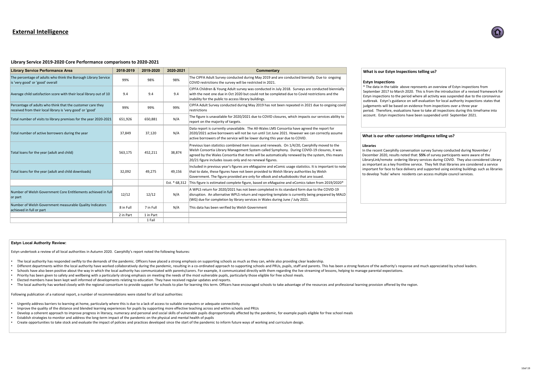# **External Intelligence**

# **Library Service 2019-2020 Core Performance comparisons to 2020-2021**

| <b>Library Service Performance Area</b>                                                                                  | 2018-2019 | 2019-2020 | 2020-2021     | <b>Commentary</b>                                                                                                                                                                                                                           |
|--------------------------------------------------------------------------------------------------------------------------|-----------|-----------|---------------|---------------------------------------------------------------------------------------------------------------------------------------------------------------------------------------------------------------------------------------------|
| The percentage of adults who think the Borough Library Service<br>is 'very good' or 'good' overall                       | 99%       | 98%       | 98%           | The CIPFA Adult Survey conducted during May 2019 and a<br>COVID restrictions the survey will be restricted in 2021.                                                                                                                         |
| Average child satisfaction score with their local library out of 10                                                      | 9.4       | 9.4       | 9.4           | CIPFA Children & Young Adult survey was conducted in Ju<br>with the next one due in Oct 2020 but could not be compl<br>inability for the public to access library buildings.                                                                |
| Percentage of adults who think that the customer care they<br>received from their local library is 'very good' or 'good' | 99%       | 99%       | 99%           | CIPFA Adult Survey conducted during May 2019 has not b<br>restrictions                                                                                                                                                                      |
| Total number of visits to library premises for the year 2020-2021                                                        | 651,926   | 650,881   | N/A           | The figure is unavailable for 2020/2021 due to COVID clos<br>report on the majority of targets.                                                                                                                                             |
| Total number of active borrowers during the year                                                                         | 37,849    | 37,120    | N/A           | Data report is currently unavailable. The All-Wales LMS C<br>2020/2021 active borrowers will not be run until 1st June<br>active borrowers of the service will be lower during this ye                                                      |
| Total loans for the year (adult and child)                                                                               | 563,175   | 452,211   | 38,874        | Previous loan statistics combined item issues and renewal<br>Welsh Consortia Library Management System called Symp<br>agreed by the Wales Consortia that items will be automat<br>20/21 figure includes issues only and no renewal figures. |
| Total loans for the year (adult and child downloads)                                                                     | 32,092    | 49,275    | 49,156        | Included in previous year's figures are eMagazine and eCo<br>that to date, these figures have not been provided to Wel.<br>Government. The figure provided are only for eBook and $\epsilon$                                                |
|                                                                                                                          |           |           | Est. * 68,312 | This figure is estimated complete figure, based on eMagaz                                                                                                                                                                                   |
| Number of Welsh Government Core Entitlements achieved in full<br>or part                                                 | 12/12     | 12/12     | N/A           | A WPLS return for 2020/2021 has not been completed in i<br>disruption. An alternative WPLS return and reporting tem<br>(WG) due for completion by library services in Wales durin                                                           |
| Number of Welsh Government measurable Quality Indicators<br>achieved in full or part                                     | 8 in Full | 7 in Full | N/A           | This data has been verified by Welsh Government                                                                                                                                                                                             |
|                                                                                                                          | 2 in Part | 1 in Part |               |                                                                                                                                                                                                                                             |
|                                                                                                                          |           | 1 Fail    |               |                                                                                                                                                                                                                                             |

### **What is our Estyn Inspections telling us?**

### **Estyn Inspections**

\* The data in the table above represents an overview of Estyn inspections from September 2017 to March 2020. This is from the introduction of a revised framework for Estyn inspections to the period where all activity was suspended due to the coronavirus outbreak. Estyn's guidance on self-evaluation for local authority inspections states that judgements will be based on evidence from inspections over a three year period. Therefore, evaluations have to take all inspections during this timeframe into account. Estyn inspections have been suspended until September 2021.

### **What is our other customer intelligence telling us?**

### **Libraries**

In the recent Caerphilly conversation survey Survey conducted during November / December 2020, results noted that: **55%** of survey participants were aware of the LibraryLink/remote ordering library services during COVID. They also considered Library as important as a key frontline service. They felt that libraries are considered a service important for face to face delivery and supported using existing buildings such as libraries to develop 'hubs' where residents can access multiple council services.







### **Estyn Local Authority Review:**

Estyn undertook a review of all local authorities in Autumn 2020. Caerphilly's report noted the following features:

- The local authority has responded swiftly to the demands of the pandemic. Officers have placed a strong emphasis on supporting schools as much as they can, while also providing clear leadership.
- Different departments within the local authority have worked collaboratively during the pandemic, resulting in a co-ordinated approach to supporting schools and PRUs, pupils, staff and parents. This has been a strong featu
- Schools have also been positive about the way in which the local authority has communicated with parents/carers. For example, it communicated directly with them regarding the live streaming of lessons, helping to manage pa
- Priority has been given to safety and wellbeing with a particularly strong emphasis on meeting the needs of the most vulnerable pupils, particularly those eligible for free school meals.
- Elected members have been kept well informed of developments relating to education. They have received regular updates and reports.
- The local authority has worked closely with the regional consortium to provide support for schools to plan for learning this term. Officers have encouraged schools to take advantage of the resources and professional learni

Following publication of a national report, a number of recommendations were stated for all local authorities:

- Urgently address barriers to learning at home, particularly where this is due to a lack of access to suitable computers or adequate connectivity
- Improve the quality of the distance and blended learning experiences for pupils by supporting more effective teaching across and within schools and PRUs
- Develop a coherent approach to improve progress in literacy, numeracy and personal and social skills of vulnerable pupils disproportionally affected by the pandemic, for example pupils eligible for free school meals
- Establish strategies to monitor and address the long-term impact of the pandemic on the physical and mental health of pupils
- Create opportunities to take stock and evaluate the impact of policies and practices developed since the start of the pandemic to inform future ways of working and curriculum design.



iting May 2019 and are conducted bienially. Due to ongoing restricted in 2021.

was conducted in July 2018. Surveys are conducted biennially It could not be completed due to Covid restrictions and the ry buildings.

; May 2019 has not been repeated in 2021 due to ongoing covid

21 due to COVID closures, which impacts our services ability to

The All-Wales LMS Consortia have agreed the report for be run until 1st June 2021. However we can correctly assume e lower during this year due to COVID.

 $m$  issues and renewals. On  $1/4/20$ , Caerphilly moved to the t System called Symphony. During COVID-19 closures, it was tems will be automatically renewed by the system, this means no renewal figures.

 $\theta$  eMagazine and eComic usage statistics. It is important to note een provided to Welsh library authorities by Welsh enly for eBook and eAudiobooks that are issued.

 $\epsilon$  based on eMagazine and eComics taken from 2019/2020 $^*$ 

t been completed in its standard form due to the COVID-19 In and reporting template is currently being prepared by MALD ervices in Wales during June / July 2021.

10of 19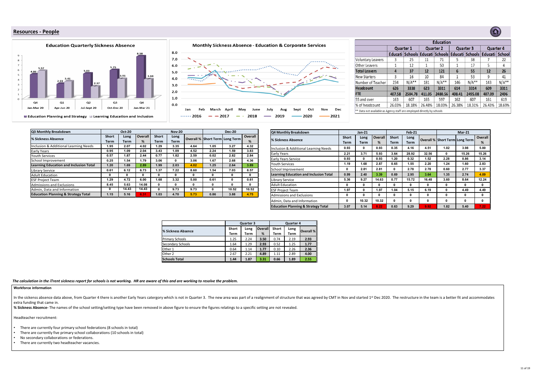*The calculation in the iTrent sickness report for schools is not working. HR are aware of this and are working to resolve the problem.* 

# **Resources - People**





### **Workforce information**

In the sickenss absence data above, from Quarter 4 there is another Early Years catergory which is not in Quarter 3. The new area was part of a realignment of structure that was agreed by CMT in Nov and started 1<sup>st</sup> Dec 2  $\vert$  extra funding that came in.

**% Sickness Absence-** The names of the school setting/setting type have been removed in above figure to ensure the figures relatings to a specific setting are not revealed.

Headteacher recruitment:

- There are currently four primary school federations (8 schools in total)
- There are currently five primary school collaborations (10 schools in total)
- No secondary collaborations or federations.
- There are currently two headteacher vacancies.



|                                                                        | <b>Education</b> |                                 |        |                  |        |                  |                                      |         |  |  |  |
|------------------------------------------------------------------------|------------------|---------------------------------|--------|------------------|--------|------------------|--------------------------------------|---------|--|--|--|
|                                                                        | <b>Quarter 1</b> |                                 |        | <b>Quarter 2</b> |        | <b>Quarter 3</b> | <b>Quarter 4</b>                     |         |  |  |  |
|                                                                        |                  | Educati Schools Educati Schools |        |                  |        |                  | Educati   Schools   Educati   School |         |  |  |  |
| <b>Voluntary Leavers</b>                                               | 3                | 25                              | 11     | 71               | 5      | 38               |                                      | 22      |  |  |  |
| <b>Other Leavers</b>                                                   |                  | 12                              | 1      | 50               |        | 17               | 5                                    | 4       |  |  |  |
| <b>Total Leavers</b>                                                   | 4                | 37                              | 12     | 121              | 6      | 55               | 12                                   | 26      |  |  |  |
| <b>New Starters</b>                                                    | 3                | 16                              | 10     | 84               | 1      | 53               | 9                                    | 41      |  |  |  |
| Number of Teacher                                                      | 234              | $N/A**$                         | 181    | $N/A**$          | 146    | $N/A**$          | 143                                  | $N/A**$ |  |  |  |
| <b>Headcount</b>                                                       | 626              | 3338                            | 623    | 3311             | 614    | 3314             | 609                                  | 3311    |  |  |  |
| <b>FTE</b>                                                             | 407.58           | 2504.78                         | 411.05 | 2480.56          | 408.41 | 2495.08          | 407.09                               | 2496    |  |  |  |
| 55 and over                                                            | 163              | 607                             | 165    | 597              | 162    | 607              | 161                                  | 619     |  |  |  |
| % of headcount                                                         | 26.03%           | 18.18%                          | 26.48% | 18.03%           | 26.38% | 18.31%           | 26.43%                               | 18.69%  |  |  |  |
| ** Data not available as Agency staff are employed directly by schools |                  |                                 |        |                  |        |                  |                                      |         |  |  |  |

|                           |              | <b>Quarter 3</b> |                | <b>Quarter 4</b> |             |                  |  |  |
|---------------------------|--------------|------------------|----------------|------------------|-------------|------------------|--|--|
| <b>% Sickness Absence</b> | <b>Short</b> | Long             | <b>Overall</b> | <b>Short</b>     | Long        | <b>Overall %</b> |  |  |
|                           | <b>Term</b>  | <b>Term</b>      | %              | <b>Term</b>      | <b>Term</b> |                  |  |  |
| <b>Primary Schools</b>    | 1.25         | 2.24             | 3.50           | 0.74             | 2.19        | 2.93             |  |  |
| <b>Secondary Schools</b>  | 1.64         | 1.29             | 2.93           | 0.52             | 1.25        | 1.77             |  |  |
| Other 1                   | 0.64         | 1.14             | 1.77           | 0.10             | 2.26        | 2.36             |  |  |
| Other 2                   | 2.67         | 2.21             | 4.89           | 1.11             | 2.89        | 4.00             |  |  |
| <b>Schools Total</b>      | 1.44         | 1.87             | 3.31           | 0.66             | 1.89        | 2.55             |  |  |

| Q3 Monthly Breakdown                           |                             | <b>Oct-20</b>       |                |                             | <b>Nov-20</b> |      |                                    | <b>Dec-20</b> |         | Q4 Monthly Breakdown                           |                             | <b>Jan-21</b>       |                |                             | <b>Feb-21</b> |       |                                    | $Mar-21$ |         |
|------------------------------------------------|-----------------------------|---------------------|----------------|-----------------------------|---------------|------|------------------------------------|---------------|---------|------------------------------------------------|-----------------------------|---------------------|----------------|-----------------------------|---------------|-------|------------------------------------|----------|---------|
| % Sickness Absence                             | <b>Short</b><br><b>Term</b> | Long<br><b>Term</b> | <b>Overall</b> | <b>Short</b><br><b>Term</b> | Long<br>Term  |      | Overall %   Short Term   Long Term |               | Overall | % Sickness Absence                             | <b>Short</b><br><b>Term</b> | Long<br><b>Term</b> | <b>Overall</b> | <b>Short</b><br><b>Term</b> | Long<br>Term  |       | Overall %   Short Term   Long Term |          | Overall |
| Inclusion & Additional Learning Needs          | 1.95                        | 2.07                | 4.02           | 1.29                        | 3.35          | 4.64 | 1.05                               | 3.27          | 4.32    | Inclusion & Additional Learning Needs          | 0.93                        |                     | 0.93           | 0.35                        | 4.16          | 4.51  | 1.02                               | 3.98     | 5.00    |
| <b>Early Years</b>                             | 0.95                        | 1.09                | 2.04           | 3.43                        | 1.09          | 4.52 | 2.24                               | 1.59          | 3.83    |                                                | 2.21                        | 3.71                | 5.93           | 3.64                        | 28.92         | 32.56 |                                    | 15.26    | 15.26   |
| <b>Youth Services</b>                          | 0.57                        | 1.87                | 2.44           | 0.77                        | 1.82          | 2.59 | 0.02                               | 2.82          | 2.84    | <b>Early Years</b>                             |                             |                     |                |                             |               |       |                                    |          |         |
| School Improvement                             | 0.25                        | 1.54                | 1.79           | 3.06                        |               | 3.06 | 1.67                               | 2.68          | 4.36    | <b>Early Years Service</b>                     | 0.93                        |                     | 0.93           | 1.20                        | 0.32          | 1.52  | 2.28                               | 0.86     | 3.14    |
| <b>Learning Education and Inclusion Total</b>  | 1.20                        | 1.69                | 2.89           | 1.99                        | 2.03          | 4.02 | 1.25                               | 2.64          | 3.89    | Youth Services                                 | 1.19                        | 1.68                | 2.87           | 0.65                        | 1.55          | 2.20  | 1.24                               | 1.60     | 2.83    |
| Library Service                                | 0.61                        | 6.12                | 6.73           | 1.37                        | 7.22          | 8.60 | 1.54                               | 7.03          | 8.57    | School Improvement                             |                             | 2.81                | 2.81           |                             | 2.78          | 2.78  | 0.60                               | 2.77     | 3.37    |
| <b>Adult Education</b>                         |                             |                     |                |                             |               |      |                                    |               |         | <b>Learning Education and Inclusion Total</b>  | 0.99                        | 2.40                | 3.39           | 0.69                        | 2.95          | 3.64  | 1.35                               | 2.74     | 4.09    |
| <b>ESF Project Team</b>                        | 1.29                        | 4.72                | 6.00           | 1.68                        | 3.32          | 5.00 | 0.61                               |               | 0.61    | Library Service                                | 5.36                        | 9.27                | 14.63          | 0.77                        | 15.72         | 16.48 | 3.60                               | 8.64     | 12.24   |
| Admissions and Exclusions                      | 8.45                        | 5.63                | 14.08          |                             |               |      |                                    |               |         | <b>Adult Education</b>                         |                             |                     |                |                             |               |       |                                    |          |         |
| Admin, Data and Information                    |                             | 14.43               | 14.43          |                             | 9.73          | 9.73 |                                    | 10.52         | 10.52   | <b>IESF Project Team</b>                       | 1.97                        |                     | 1.97           | 1.04                        | 5.15          | 6.19  |                                    | 4.49     | 4.49    |
| <b>Education Planning &amp; Strategy Total</b> | 1.15                        | 5.16                | 6.31           | 1.03                        | 4.70          | 5.73 | 0.86                               | 3.88          | 4.75    | Admissions and Exclusions                      |                             | n                   |                |                             |               |       |                                    |          |         |
|                                                |                             |                     |                |                             |               |      |                                    |               |         | Admin, Data and Information                    |                             | 10.32               | 10.32          |                             |               |       |                                    |          |         |
|                                                |                             |                     |                |                             |               |      |                                    |               |         | <b>Education Planning &amp; Strategy Total</b> | 3.07                        | 5.14                | 8.22           | 0.63                        | 9.29          | 9.92  | 1.82                               | 5.40     | 7.22    |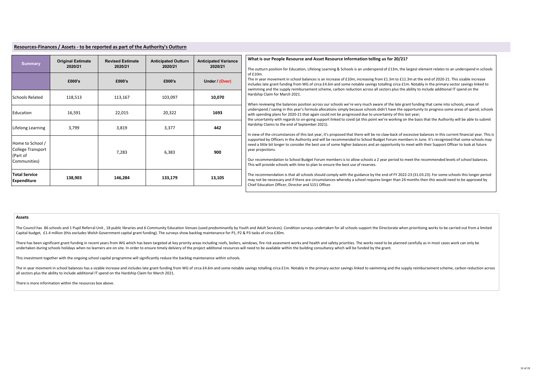| <b>Summary</b>                                                    | <b>Original Estimate</b><br>2020/21 | <b>Revised Estimate</b><br>2020/21 | <b>Anticipated Outturn</b><br>2020/21 | <b>Anticipated Variance</b><br>2020/21 |
|-------------------------------------------------------------------|-------------------------------------|------------------------------------|---------------------------------------|----------------------------------------|
|                                                                   | £000's                              | £000's                             | £000's                                | Under / (Over)                         |
| <b>Schools Related</b>                                            | 118,513                             | 113,167                            | 103,097                               | 10,070                                 |
| Education                                                         | 16,591                              | 22,015                             | 20,322                                | 1693                                   |
| Lifelong Learning                                                 | 3,799                               | 3,819                              | 3,377                                 | 442                                    |
| Home to School /<br>College Transport<br>(Part of<br>Communities) |                                     | 7,283                              | 6,383                                 | 900                                    |
| <b>Total Service</b><br><b>Expenditure</b>                        | 138,903                             | 146,284                            | 133,179                               | 13,105                                 |

The Council has 86 schools and 1 Pupil Referral Unit, 18 public libraries and 6 Community Education Venues (used predominantly by Youth and Adult Services). Condition surveys undertaken for all schools support the Director Capital budget, £1.4 million (this excludes Welsh Government capital grant funding). The surveys show backlog maintenance for P1, P2 & P3 tasks of circa £30m.

There has been significant grant funding in recent years from WG which has been targeted at key priority areas including roofs, boilers, windows, fire risk assesment works and health and safety priorities. The works need t undertaken during schools holidays when no learners are on site. In order to ensure timely delviery of the project additonal resources will need to be available within the building consultancy which will be funded by the g

The in year movment in school balances has a sizable increase and includes late grant funding from WG of circa £4.6m and some notable savings totalling circa £1m. Notably in the primary sector savings linked to swimming an all sectors plus the ability to include additional IT spend on the Hardship Claim for March 2021.

|--|

## **Assets**

This investment together with the ongoing school capital programme will significantly reduce the backlog maintenance within schools.

There is more information within the resources box above.

### **S** our People Resource and Asset Resource Information telling us for 20/21?

turn position for Education, Lifelong Learning & Schools is an underspend of £13m, the largest element relates to an underspend in schools

ear movement in school balances is an increase of £10m, increasing from £1.3m to £11.3m at the end of 2020-21. This sizable increase late grant funding from WG of circa £4.6m and some notable savings totalling circa £1m. Notably in the primary sector savings linked to ng and the supply reimbursement scheme, carbon reduction across all sectors plus the ability to include additional IT spend on the o Claim for March 2021.

eviewing the balances position across our schools we're very much aware of the late grant funding that came into schools; areas of end / saving in this year's formula allocations simply because schools didn't have the opportunity to progress some areas of spend; schools ending plans for 2020-21 that again could not be progressed due to uncertainty of this last year;

ertainty with regards to on-going support linked to covid (at this point we're working on the basis that the Authority will be able to submit p Claims to the end of September 2021).

of the circumstances of this last year, it's proposed that there will be no claw-back of excessive balances in this current financial year. This is ed by Officers in the Authority and will be recommended to School Budget Forum members in June. It's recognised that some schools may ittle bit longer to consider the best use of some higher balances and an opportunity to meet with their Support Officer to look at future iections.

ommendation to School Budget Forum members is to allow schools a 2 year period to meet the recommended levels of school balances. provide schools with time to plan to ensure the best use of reserves.

ommendation is that all schools should comply with the guidance by the end of FY 2022-23 (31.03.23). For some schools this longer period be necessary and if there are circumstances whereby a school requires longer than 24 months then this would need to be approved by ucation Officer, Director and S151 Officer.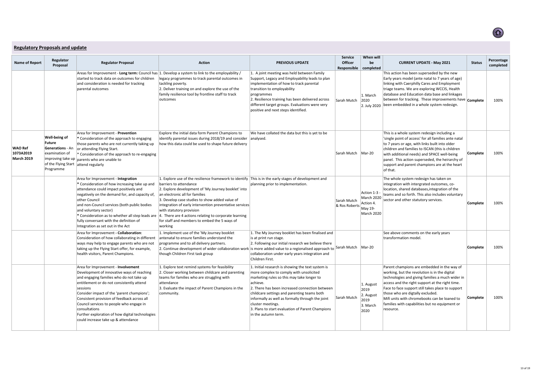| <b>Name of Report</b>                            | Regulator<br>Proposal                                                                                                     | <b>Action</b><br><b>PREVIOUS UPDATE</b><br><b>Regulator Proposal</b>                                                                                                                                                                                                                                                                                                                                                                      |                                                                                                                                                                                                                                                                                                                                                                                                                                                                                       |                                                                                                                                                                                                                                                                                                                                                                                                             |                                     | When will<br>be<br>Responsible   completed                           | <b>CURRENT UPDATE - May 2021</b>                                                                                                                                                                                                                                                                                                                                                                            | <b>Status</b>   | Percentage<br>completed |
|--------------------------------------------------|---------------------------------------------------------------------------------------------------------------------------|-------------------------------------------------------------------------------------------------------------------------------------------------------------------------------------------------------------------------------------------------------------------------------------------------------------------------------------------------------------------------------------------------------------------------------------------|---------------------------------------------------------------------------------------------------------------------------------------------------------------------------------------------------------------------------------------------------------------------------------------------------------------------------------------------------------------------------------------------------------------------------------------------------------------------------------------|-------------------------------------------------------------------------------------------------------------------------------------------------------------------------------------------------------------------------------------------------------------------------------------------------------------------------------------------------------------------------------------------------------------|-------------------------------------|----------------------------------------------------------------------|-------------------------------------------------------------------------------------------------------------------------------------------------------------------------------------------------------------------------------------------------------------------------------------------------------------------------------------------------------------------------------------------------------------|-----------------|-------------------------|
|                                                  |                                                                                                                           | started to track data on outcomes for children<br>and consideration is needed for tracking<br>parental outcomes                                                                                                                                                                                                                                                                                                                           | Areas for Improvement - Long term: Council has $ 1$ . Develop a system to link to the employability /<br>legacy programmes to track parental outcomes in<br>tackling poverty.<br>2. Deliver training on and explore the use of the<br>family resilience tool by frontline staff to track<br>outcomes                                                                                                                                                                                  | 1. A joint meeting was held between Family<br>Support, Legacy and Employability leads to plan<br>implementation of how to track parental<br>transition to employability<br>programmes<br>2. Resilience training has been delivered across<br>different target groups. Evaluations were very<br>positive and next steps identified.                                                                          | Sarah Mutch                         | 1. March<br>2020<br>2. July 2020                                     | This action has been superseded by the new<br>Early years model (ante natal to 7 years of age)<br>linking with Caerphilly Cares and Employment<br>triage teams. We are exploring WCCIS, Health<br>database and Education data base and linkages<br>between for tracking. These improvements have $ $ Complete<br>been embedded in a whole system redesign.                                                  |                 | 100%                    |
| <b>WAO Ref</b><br>1073A2019<br><b>March 2019</b> | Well-being of<br>Future<br><b>Generations</b> - An<br>examination of<br>of the Flying Start attend regularly<br>Programme | Area for Improvement - Prevention<br>* Consideration of the approach to engaging<br>those parents who are not currently taking up<br>or attending Flying Start.<br>* Consideration of the approach to re-engaging<br>improving take up $ $ parents who are unable to                                                                                                                                                                      | Explore the initial data form Parent Champions to<br>identify parental issues during 2018/19 and consider $ $ analysed.<br>how this data could be used to shape future delivery                                                                                                                                                                                                                                                                                                       | We have collated the data but this is yet to be                                                                                                                                                                                                                                                                                                                                                             | Sarah Mutch                         | $Mar-20$                                                             | This is a whole system redesign including a<br>'single point of access' for all families ante natal<br>to 7 years or age, with links built into older<br>children and families to ISCAN (this is children<br>with additional needs) and SPACE well-being<br>panel. This action superseded, the heirarchy of<br>support and parent champions are at the heart<br>of that.                                    | <b>Complete</b> | 100%                    |
|                                                  |                                                                                                                           | Area for Improvement - Integration<br>* Consideration of how increasing take up and<br>attendance could impact positively and<br>negatively on the demand for, and capacity of,<br>other Council<br>and non-Council services (both public bodies<br>and voluntary sector)<br>* Consideration as to whether all step leads are<br>fully conversant with the definition of<br>Integration as set out in the Act                             | 1. Explore use of the resilience framework to identify This is in the early stages of development and<br>barriers to attendance<br>2. Explore development of 'My Journey booklet' into<br>an electronic all for families<br>3. Develop case studies to show added value of<br>integration of early intervention preventative services<br>with statutory provision<br>4. There are 4 actions relating to corporate learning<br>for staff and members to embed the 5 ways of<br>working | planning prior to implementation.                                                                                                                                                                                                                                                                                                                                                                           | Sarah Mutch<br>$ 8$ Ros Roberts $ $ | Action 1-3 -<br>Action 4.<br>May 19-<br>March 2020                   | The whole system redesign has taken on<br>integration with intergrated outcomes, co-<br>location, shared databases, integration of the<br>teams and so forth. This also includes voluntary<br>$\vert$ March 2020 $\vert$ sector and other statutory services.                                                                                                                                               | <b>Complete</b> | 100%                    |
|                                                  |                                                                                                                           | Area for Improvement - Collaboration:<br>Consideration of how collaborating in different<br>ways may help to engage parents who are not<br>taking up the Flying Start offer, for example,<br>health visitors, Parent Champions.                                                                                                                                                                                                           | 1. Implement use of the 'My Journey booklet<br>antenatal to ensure families understand the<br>programme and to all delivery partners.<br>2. Continue development of wider collaboration work is more added value to a regionalised approach to Sarah Mutch $\vert$ Mar-20<br>though Children First task group                                                                                                                                                                         | 1. The My Journey booklet has been finalised and<br>is at print run stage.<br>2. Following our initial research we believe there<br>collaboration under early years integration and<br>Children First.                                                                                                                                                                                                      |                                     |                                                                      | See above comments on the early years<br>transformation model.                                                                                                                                                                                                                                                                                                                                              | <b>Complete</b> | 100%                    |
|                                                  |                                                                                                                           | Area for Improvement - Involvement<br>Development of innovative ways of reaching<br>and engaging families who do not take up<br>entitlement or do not consistently attend<br>sessions<br>Consider impact of the 'parent champions';<br>Consistent provision of feedback across all<br>Council services to people who engage in<br>consultations<br>Further exploration of how digital technologies<br>could increase take up & attendance | 1. Explore text remind systems for feasibility<br>2. Closer working between childcare and parenting<br>teams for families who are struggling with<br>attendance<br>3. Evaluate the impact of Parent Champions in the<br>community.                                                                                                                                                                                                                                                    | 1. Initial research is showing the text system is<br>more complex to comply with unsolicited<br>marketing rules so this may take longer to<br>achieve.<br>2. There has been increased connection between<br>childcare settings and parenting teams both<br>informally as well as formally through the joint<br>cluster meetings.<br>3. Plans to start evaluation of Parent Champions<br>in the autumn term. | Sarah Mutch                         | 1. August<br>2019<br>2. August<br>$ 2019\rangle$<br>3. March<br>2020 | Parent champions are embedded in the way of<br>working, but the revolution is in the digital<br>technologies and giving families a much wider in<br>access and the right support at the right time.<br>Face to face support still takes place to support<br>those who are digtally excluded.<br>Mifi units with chromebooks can be loaned to<br>families with capabilities but no equipment or<br>resource. | <b>Complete</b> | 100%                    |



<span id="page-12-0"></span>

| <b>Regulatory Proposals and update</b> |
|----------------------------------------|
|----------------------------------------|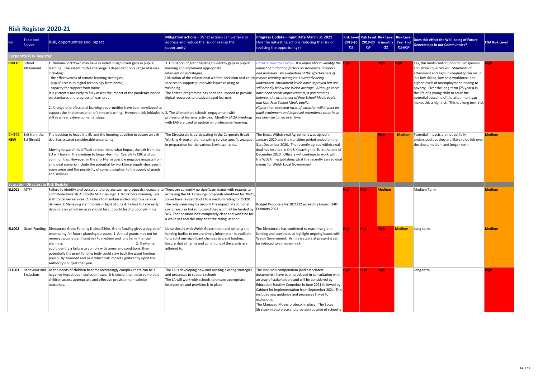# **Risk Register 2020-21**

| Ref                 | Topic and<br>Service                       | Risk, opportunities and Impact                                                                                                                                                                                                                                                                                                                                                                                                                                                                                                                                                                                                                                                     | Mitigation actions - (What actions can we take to<br>address and reduce the risk or realise the<br>opportunity)                                                                                                                                                                                                                                                                                                                                                                                                                            | Progress Update - Input Date March 31 2021<br>(Are the mitigating actions reducing the risk or<br>realising the opportunity?)                                                                                                                                                                                                                                                                                                                                                                                                                                                                | Risk Level Risk Level Risk Level Risk Level<br>2019-20   2019-20   6 months  <br>Q3<br>Q4<br>Q2 |      |             | Year End $\parallel$<br><b>Q3&amp;Q4</b> | Does this effect the Well-being of Future<br><b>Generations in our Communities?</b>                                                                                                                                                                                                                                                                                                                                 | <b>FGA Risk Level</b> |
|---------------------|--------------------------------------------|------------------------------------------------------------------------------------------------------------------------------------------------------------------------------------------------------------------------------------------------------------------------------------------------------------------------------------------------------------------------------------------------------------------------------------------------------------------------------------------------------------------------------------------------------------------------------------------------------------------------------------------------------------------------------------|--------------------------------------------------------------------------------------------------------------------------------------------------------------------------------------------------------------------------------------------------------------------------------------------------------------------------------------------------------------------------------------------------------------------------------------------------------------------------------------------------------------------------------------------|----------------------------------------------------------------------------------------------------------------------------------------------------------------------------------------------------------------------------------------------------------------------------------------------------------------------------------------------------------------------------------------------------------------------------------------------------------------------------------------------------------------------------------------------------------------------------------------------|-------------------------------------------------------------------------------------------------|------|-------------|------------------------------------------|---------------------------------------------------------------------------------------------------------------------------------------------------------------------------------------------------------------------------------------------------------------------------------------------------------------------------------------------------------------------------------------------------------------------|-----------------------|
|                     | <b>Corporate Risk Register</b>             |                                                                                                                                                                                                                                                                                                                                                                                                                                                                                                                                                                                                                                                                                    |                                                                                                                                                                                                                                                                                                                                                                                                                                                                                                                                            |                                                                                                                                                                                                                                                                                                                                                                                                                                                                                                                                                                                              |                                                                                                 |      |             |                                          |                                                                                                                                                                                                                                                                                                                                                                                                                     |                       |
| <b>CMT16</b> School | Attainment                                 | 1. National lockdown may have resulted in significant gaps in pupils'<br>learning. The extent to this challenge is dependent on a range of issues<br>including:<br>the effectiveness of remote learning strategies;<br>pupils' access to digital technology from home;<br>capacity for support from home.<br>It is currently too early to fully assess the impact of the pandemic period<br>on standards and progress of learners.<br>2. A range of professional learning opportunities have been developed to<br>support the implementation of remote learning. However, this initiative is 2. The LA monitors schools' engagement with<br>still at an early developmental stage. | 1. Utilisation of grant funding to identify gaps in pupils'<br>learning and implement appropriate<br>interventions/strategies.<br>Utilisation of the educational welfare, inclusion and Youth remote learning strategies is currently being<br>services to support pupils with issues relating to<br>wellbeing.<br>The Edtech programme has been repurposed to provide<br>digital resources to disadvantaged learners.<br>professional learning activities. Monthly LAQA meetings<br>with EAS are used to update on professional learning. | UPDATE Narrative below It is impossible to identify the Righ<br>impact of mitigating factors on standards, progress<br>$ $ and provision. An evaluation of the effectiveness of<br>undertaken. Attainment levels have improved but are<br>still broadly below the Welsh average. Although there<br>have been recent improvements, a gap remains<br>between the attainment of Free School Meals pupils<br>and Non-Free School Meals pupils.<br>Higher than expected rates of exclusion will impact on<br>pupil attainment and improved attendance rates have<br>not been sustained over time. |                                                                                                 |      | <b>High</b> | <b>High</b>                              | Yes, this limits contribution to 'Prosperous'<br>and More Equal Wales'. Standards of<br>attainment and gaps in inequality can result<br>in a low skilled, low paid workforce, and<br>higher levels of unemployment leading to<br>poverty. Over the long-term (25 years) in<br>the life of a young child to adult the<br>potential outcome of the attainment gap<br>makes this a high risk. This is a long term risk |                       |
| <b>NEW</b>          | Exit from the<br>EU (Brexit)               | The decision to leave the EU and the looming deadline to secure an exit<br>deal has created considerable uncertainty.<br>Moving forward it is difficult to determine what impact the exit from the<br>EU will have in the medium to longer-term for Caerphilly CBC and our<br>communities. However, in the short-term possible negative impacts from<br>a no deal scenario include the potential for workforce supply shortages in<br>some areas and the possibility of some disruption to the supply of goods<br>and services.                                                                                                                                                    | The Directorate is participating in the Corporate Brexit<br>Working Group and undertaking service specific analysis<br>in preparation for the various Brexit scenarios.                                                                                                                                                                                                                                                                                                                                                                    | The Brexit Withdrawal Agreement was signed in<br>January 2020 and the transition period ended on the<br>31st December 2020. The recently agreed withdrawal<br>deal has resulted in the UK leaving the EU at the end of<br>December 2020. Officers will continue to work with<br>the WLGA in establishing what the recently agreed deal<br>means for Welsh Local Government.                                                                                                                                                                                                                  |                                                                                                 |      | <b>High</b> |                                          | Medium Potential impacts are not yet fully<br>understood but they are likely to be felt over<br>the short, medium and longer-term.                                                                                                                                                                                                                                                                                  | <b>Medium</b>         |
|                     | <b>Education Directorate Risk Register</b> |                                                                                                                                                                                                                                                                                                                                                                                                                                                                                                                                                                                                                                                                                    |                                                                                                                                                                                                                                                                                                                                                                                                                                                                                                                                            |                                                                                                                                                                                                                                                                                                                                                                                                                                                                                                                                                                                              |                                                                                                 |      |             |                                          |                                                                                                                                                                                                                                                                                                                                                                                                                     |                       |
| ELLOO1   MTFP       |                                            | Failure to identify and consult and progress savings proposals necessary to There are currently no significant issues with regards to<br>contribute towards Authority MTFP savings. 1. Workforce Planning: less<br>staff to deliver services. 2. Failure to maintain and/or improve service<br>delivery 3. Managing staff morale in light of cuts 4. Failure to take early<br>decisions on which services should be cut could lead to poor planning                                                                                                                                                                                                                                | achieving the MTFP savings proposals identified for 20-21,<br>so we have revised 20-21 to a medium rating for Oct20.<br>The only issue may be around the impact of additional<br>cost pressures linked to covid that won't all be funded by February 2021.<br>WG. That position isn't completely clear and won't be for<br>a while yet and this may alter the rating later on.                                                                                                                                                             | Budget Proposals for 2021/22 agreed by Council 24th                                                                                                                                                                                                                                                                                                                                                                                                                                                                                                                                          | ligh.                                                                                           | High | Medium      |                                          | Medium Term                                                                                                                                                                                                                                                                                                                                                                                                         | <b>Medium</b>         |
| <b>ELL002</b>       |                                            | Grant Funding Directorate Grant Funding is circa £30m. Grant funding gives a degree of<br>uncertainty for future planning purposes; 1. Annual grants may not be<br>renewed posing significant risk to medium and long term financial<br>2. If external<br>planning.<br>audit identify a failure to comply with terms and conditions, then<br>potentially the grant funding body could claw back the grant funding<br>previously awarded and paid which will impact significantly upon the<br>Authority's budget that year.                                                                                                                                                         | Liaise closely with Welsh Government and other grant<br>funding bodies to ensure timely information is available<br>to predict any significant changes to grant funding.<br>Ensure that all terms and conditions of the grants are<br>adhered to.                                                                                                                                                                                                                                                                                          | The Directorate has continued to maximise grant<br>funding and continues to highlight ongoing issues with<br>Welsh Government. As this is stable at present it can<br>be reduced to a medium risk.                                                                                                                                                                                                                                                                                                                                                                                           | ligh.                                                                                           | High | <b>High</b> | Medium                                   | Long-term                                                                                                                                                                                                                                                                                                                                                                                                           | <b>Medium</b>         |
| <b>ELL003</b>       | Behaviour and<br><b>Exclusions</b>         | As the needs of children become increasingly complex there can be a<br>negative impact upon exclusion rates. It is crucial that these vulnerable<br>children access appropriate and effective provision to maximise<br>outcomes.                                                                                                                                                                                                                                                                                                                                                                                                                                                   | The LA is developing new and revising existing strategies<br>and processes to support schools<br>The LA will work with schools to ensure appropriate<br>intervention and provision is in place                                                                                                                                                                                                                                                                                                                                             | The Inclusion compendium (and associated<br>documents) have been produced in consultation with<br>an aray of stakeholders and will be considered by<br>Education Scrutiny Committe in June 2021 followed by<br>Cabinet for implementation from September 2021. This<br>includes new guidance and processes linked to<br>exclusions.<br>The Managed Moves protocol in place. The Eotas<br>Strategy in also place and provision outside of school is                                                                                                                                           | ligh                                                                                            | High | <b>High</b> |                                          | Long-term                                                                                                                                                                                                                                                                                                                                                                                                           |                       |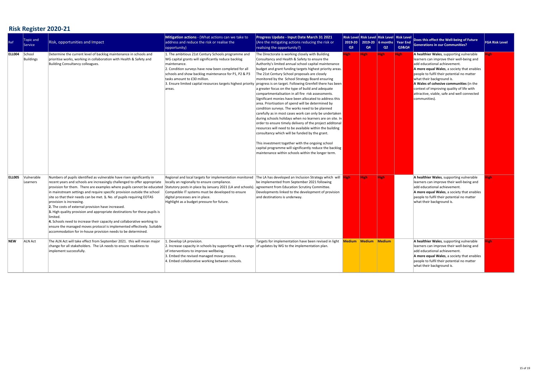# **Risk Register 2020-21**

| Ref           | Topic and<br>Service   | <b>Risk, opportunities and Impact</b>                                                                                                                                                                                                                                                                                                                                                                                                                                                                                                                                                                                                                                                                                                                                              | Mitigation actions - (What actions can we take to<br>address and reduce the risk or realise the<br>opportunity)                                                                                                                                                                                                                                                                                               | <b>Progress Update - Input Date March 31 2021</b><br>(Are the mitigating actions reducing the risk or<br>realising the opportunity?)                                                                                                                                                                                                                                                                                                                                                                                                                                                                                                                                                                                                                                                                                                                                                                                                                                                                                                                                         | 2019-20<br>Q3 | <b>Risk Level Risk Level Risk Level Risk Level</b><br>Q4 | Q2          | 2019-20   6 months   Year End  <br><b>Q3&amp;Q4</b> | Does this effect the Well-being of Future<br><b>Generations in our Communities?</b>                                                                                                                                                                                                                                                                                                                    | <b>FGA Risk Level</b> |
|---------------|------------------------|------------------------------------------------------------------------------------------------------------------------------------------------------------------------------------------------------------------------------------------------------------------------------------------------------------------------------------------------------------------------------------------------------------------------------------------------------------------------------------------------------------------------------------------------------------------------------------------------------------------------------------------------------------------------------------------------------------------------------------------------------------------------------------|---------------------------------------------------------------------------------------------------------------------------------------------------------------------------------------------------------------------------------------------------------------------------------------------------------------------------------------------------------------------------------------------------------------|------------------------------------------------------------------------------------------------------------------------------------------------------------------------------------------------------------------------------------------------------------------------------------------------------------------------------------------------------------------------------------------------------------------------------------------------------------------------------------------------------------------------------------------------------------------------------------------------------------------------------------------------------------------------------------------------------------------------------------------------------------------------------------------------------------------------------------------------------------------------------------------------------------------------------------------------------------------------------------------------------------------------------------------------------------------------------|---------------|----------------------------------------------------------|-------------|-----------------------------------------------------|--------------------------------------------------------------------------------------------------------------------------------------------------------------------------------------------------------------------------------------------------------------------------------------------------------------------------------------------------------------------------------------------------------|-----------------------|
| ELL004        | School<br>Buildings    | Determine the current level of backlog maintenance in schools and<br>prioritise works, working in collaboration with Health & Safety and<br>Building Consultancy colleagues.                                                                                                                                                                                                                                                                                                                                                                                                                                                                                                                                                                                                       | 1. The ambitious 21st Century Schools programme and<br>WG capital grants will significantly reduce backlog<br>maintenance.<br>2. Condition surveys have now been completed for all<br>schools and show backlog maintenance for P1, P2 & P3<br>tasks amount to £30 million.<br>3. Ensure limited capital resources targets highest priority progress is on target. Following Grenfell there has been<br>areas. | The Directorate is working closely with Building<br>Consultancy and Health & Safety to ensure the<br>Authority's limited annual school capital maintenance<br>budget and grant funding targets highest priority areas.<br>The 21st Century School proposals are closely<br>monitored by the School Strategy Board ensuring<br>a greater focus on the type of build and adequate<br>compartmentalisation in all fire risk assessments.<br>Significant monies have been allocated to address this<br>area. Priortisation of spend will be determined by<br>condition surveys. The works need to be planned<br>carefully as in most cases work can only be undertaken<br>during schools holidays when no learners are on site. In<br>order to ensure timely delivery of the project additonal<br>resources will need to be available within the building<br>consultancy which will be funded by the grant.<br>This investment together with the ongoing school<br>capital programme will significantly reduce the backlog<br>maintenance within schools within the longer term. | ligh -        | High                                                     | <b>High</b> | <b>High</b>                                         | A healthier Wales, supporting vulnerable<br>learners can improve their well-being and<br>add educational achievement.<br>A more equal Wales, a society that enables<br>people to fulfil their potential no matter<br>what their background is.<br>A Wales of cohesive communities (in the<br>context of improving quality of life with<br>attractive, viable, safe and well connected<br>communities). | ieh.                  |
| <b>ELLOO5</b> | Vulnerable<br>Learners | Numbers of pupils identified as vulnerable have risen significantly in<br>recent years and schools are increasingly challenged to offer appropriate<br>provision for them. There are examples where pupils cannot be educated<br>in mainstream settings and require specific provision outside the school<br>site so that their needs can be met. 1. No. of pupils requiring EOTAS<br>provision is increasing.<br>2. The costs of external provision have increased.<br>3. High quality provision and appropriate destinations for these pupils is<br>limited<br>4. Schools need to increase their capacity and collaborative working to<br>ensure the managed moves protocol is implemented effectively. Suitable<br>accommodation for in-house provision needs to be determined. | Regional and local targets for implementation monitored<br>locally an regionally to ensure compliance.<br>Statutory posts in place by January 2021 (LA and schools).<br>Compatible IT systems must be developed to ensure<br>digital processes are in place.<br>Highlight as a budget pressure for future.                                                                                                    | The LA has developed an Inclusion Strategy which will <b>High</b><br>be implemented from September 2021 following<br>agreement from Education Scrutiny Committee.<br>Developments linked to the development of provision<br>and destinations is underway.                                                                                                                                                                                                                                                                                                                                                                                                                                                                                                                                                                                                                                                                                                                                                                                                                    |               | <b>High</b>                                              | <b>High</b> |                                                     | A healthier Wales, supporting vulnerable<br>learners can improve their well-being and<br>add educational achievement.<br>A more equal Wales, a society that enables<br>people to fulfil their potential no matter<br>what their background is.                                                                                                                                                         |                       |
| <b>NEW</b>    | ALN Act                | The ALN Act will take effect from September 2021. this will mean major<br>change for all stakeholders. The LA needs to ensure readiness to<br>implement successfully.                                                                                                                                                                                                                                                                                                                                                                                                                                                                                                                                                                                                              | L. Develop LA provision.<br>2. Increase capacity in schools by supporting with a range   of updates by WG to the implementation plan.<br>of interventions to improve wellbeing.<br>3. Embed the revised managed move process.<br>4. Embed collaborative working between schools.                                                                                                                              | Targets for implementation have been revised in light                                                                                                                                                                                                                                                                                                                                                                                                                                                                                                                                                                                                                                                                                                                                                                                                                                                                                                                                                                                                                        |               | Medium Medium Medium                                     |             |                                                     | A healthier Wales, supporting vulnerable<br>learners can improve their well-being and<br>add educational achievement.<br>A more equal Wales, a society that enables<br>people to fulfil their potential no matter<br>what their background is.                                                                                                                                                         | igh.                  |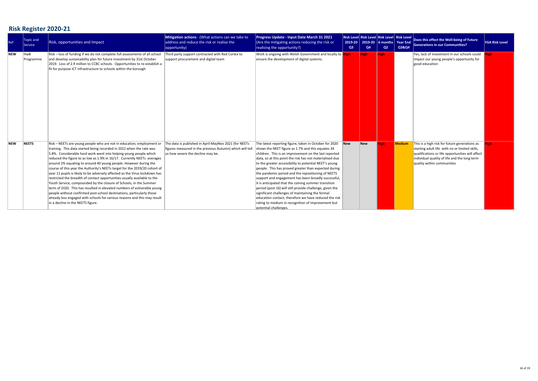# **Risk Register 2020-21**

| Ref        | Topic and<br>Service | <b>Risk, opportunities and Impact</b>                                                                                                                                                                                                                                                                                                                                                                                                                                                                                                                                                                                                                                                                                                                                                                                                                                                                                                                  | Mitigation actions - (What actions can we take to<br>address and reduce the risk or realise the<br> opportunity)                                      | Progress Update - Input Date March 31 2021<br>(Are the mitigating actions reducing the risk or<br>realising the opportunity?)                                                                                                                                                                                                                                                                                                                                                                                                                                                                                                                                                                                                                                                  | 2019-20<br>Q <sub>3</sub> | Q4          | $2019-20$ 6 months Year End<br>Q2 | <b>Risk Level Risk Level Risk Level Risk Level</b><br>Q3&Q4 | Does this effect the Well-being of Future<br><b>Generations in our Communities?</b>                                                                                                                                               | <b>FGA Risk Level</b> |
|------------|----------------------|--------------------------------------------------------------------------------------------------------------------------------------------------------------------------------------------------------------------------------------------------------------------------------------------------------------------------------------------------------------------------------------------------------------------------------------------------------------------------------------------------------------------------------------------------------------------------------------------------------------------------------------------------------------------------------------------------------------------------------------------------------------------------------------------------------------------------------------------------------------------------------------------------------------------------------------------------------|-------------------------------------------------------------------------------------------------------------------------------------------------------|--------------------------------------------------------------------------------------------------------------------------------------------------------------------------------------------------------------------------------------------------------------------------------------------------------------------------------------------------------------------------------------------------------------------------------------------------------------------------------------------------------------------------------------------------------------------------------------------------------------------------------------------------------------------------------------------------------------------------------------------------------------------------------|---------------------------|-------------|-----------------------------------|-------------------------------------------------------------|-----------------------------------------------------------------------------------------------------------------------------------------------------------------------------------------------------------------------------------|-----------------------|
| <b>NEW</b> | HwB<br>Programme     | Risk – loss of funding if we do not complete full assessments of all school<br>and develop sustainability plan for future investment by 31st October<br>2019. Loss of 2.9 million to CCBC schools. Opportunities to re-establish a<br>fit for purpose ICT infrastructure to schools within the borough                                                                                                                                                                                                                                                                                                                                                                                                                                                                                                                                                                                                                                                 | Third party support contracted with Red Cortex to<br>support procurement and digital team                                                             | Work is ongoing with Welsh Government and locally to High<br>ensure the development of digital systems.                                                                                                                                                                                                                                                                                                                                                                                                                                                                                                                                                                                                                                                                        |                           | <b>High</b> | <b>High</b>                       |                                                             | Yes, lack of investment in our schools could<br>impact our young people's opportunity for<br>good education                                                                                                                       | <b>ligh</b>           |
| <b>NEW</b> | NEETS                | Risk – NEETs are young people who are not in education, employment or<br>training. This data started being recorded in 2012 when the rate was<br>5.8%. Considerable hard work went into helping young people which<br>reduced the figure to as low as 1.9% in 16/17. Currently NEETs averages<br>around 2% equating to around 40 young people. However during the<br>course of this year the Authority's NEETs target for the 2019/20 cohort of<br>year 11 pupils is likely to be adversely affected as the Virus lockdown has<br>restricted the breadth of contact opportunities usually available to the<br>Youth Service, compounded by the closure of Schools, in the Summer<br>term of 2020. This has resulted in elevated numbers of vulnerable young<br>people without confirmed post-school destinations, particularly those<br>already less engaged with schools for various reasons and this may result<br>in a decline in the NEETS figure. | The data is published in April-MayNov 2021 (for NEETs<br>figures measured in the previous Autumn) which will tel<br>us how severe the decline may be. | The latest reporting figure, taken in October for 2020<br>shows the NEET figure as 1.7% and this equates 34<br>children. This is an improvement on the last reported<br>data, so at this point the risk has not materialised due<br>to the greater accessibility to potential NEET's young<br>people. This has proved greater than expected during<br>the pandemic period and the repositioning of NEETS<br>support and engagement has been broadly successful,<br>it is anticipated that the coming summer transition<br>period (post 16) will still provide challenge, given the<br>significant challenges of maintaining the formal<br>education contact, therefore we have reduced the risk<br>rating to medium in recognition of improvement but<br>potential challenges. | <b>New</b>                | New         | <b>ligh</b>                       | Medium                                                      | This is a high risk for future generations as<br>starting adult life with no or limited skills,<br>qualifications or life opportunities will affect<br>individual quality of life and the long term<br>quality within communities |                       |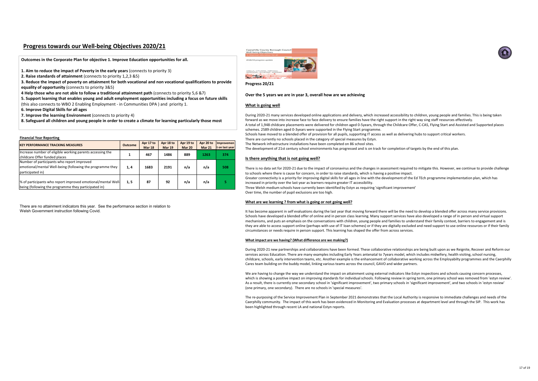### **Financial Year Reporting**

| <b>KEY PERFORMANCE TRACKING MEASURES</b>                                                                                    | <b>Outcome</b> | Apr 17 to<br><b>Mar 18</b> | Apr 18 to<br><b>Mar 19</b> | Apr 19 to<br>Mar 20 | Apr 20 to<br><b>Mar 21</b> | Improvemen<br>t on last year |
|-----------------------------------------------------------------------------------------------------------------------------|----------------|----------------------------|----------------------------|---------------------|----------------------------|------------------------------|
| Increase number of eligible working parents accessing the<br>childcare Offer funded places                                  |                | 467                        | 1486                       | 889                 | 1263                       | 374                          |
| Number of participants who report improved<br>emotional/mental Well-being (following the programme they<br>participated in) | 1,4            | 1683                       | 2191                       | n/a                 | n/a                        | 508                          |
| % of participants who report improved emotional/mental Well-<br>being (following the programme they participated in)        | 1, 5           | 87                         | 92                         | n/a                 | n/a                        |                              |

There are no attainment indicators this year. See the performance section in relation to Welsh Government instruction following Covid.



# **Progress towards our Well-being Objectives 2020/21**

**Progress 20/21** 

### **Over the 5 years we are in year 3, overall how are we achieving**

### **What is going well**

- During 2020-21 many services developed online applications and delivery, which increased accessibility to children, young people and families. This is being taken forward as we move into increase face to face delivery to ensure families have the right support in the right way sing staff resources effectively.
- A total of 1,948 childcare placements were delivered for children aged 0-5years, through the Childcare Offer, C-CAS, Flying Start and Assisted and Supported places schemes. 2589 children aged 0-3years were supported in the Flying Start programme.
- Schools have moved to a blended offer of provision for all pupils, supporting IT access as well as delivering hubs to support critical workers.
- There are currently no schools placed in the category of special measures by Estyn.
- The Network infrastructure installations have been completed on 86 school sites.
- The development of 21st century school environments has progressed and is on track for completion of targets by the end of this plan.
- There is no data set for 2020-21 due to the impact of coronavirus and the changes in assessment required to mitigate this. However, we continue to provide challenge to schools where there is cause for concern, in order to raise standards, which is having a positive impact.
- Greater connectivity is a priority for improving digital skills for all ages in line with the development of the Ed TEch programme implementation plan, which has increased in priority over the last year as learners require greater IT accessibility.
- Three Welsh medium schools have currently been identified by Estyn as requiring 'significant improvement'
	-

### **Is there anything that is not going well?**

We are having to change the way we understand the impact on attainment using external indicators like Estyn inspections and schools causing concern processes, which is showing a positive impact on improving standards for individual schools. Following review in spring term, one primary school was removed from 'estyn review'. As a result, there is currently one secondary school in 'significant improvement', two primary schools in 'significant improvement', and two schools in 'estyn review' (one primary, one secondary). There are no schools in 'special measures'.

Over time, the number of pupil exclusions are too high.

### **What are we learning ? from what is going or not going well?**

It has become apparent in self evaluations during the last year that moving forward there will be the need to develop a blended offer across many service provisions. Schools have developed a blended offer of online and in person class learning. Many support services have also developed a range of in person and virtual support mechanisms, and puts an emphasis on the conversations with children, young people and families to understand their family context, barriers to engagement and is they are able to access support online (perhaps with use of IT loan schemes) or if they are digitally excluded and need support to use online resources or if their family circumstances or needs require in person support. This learning has shaped the offer from across services.

### **What impact are we having? (What difference are we making?)**

During 2020-21 new partnerships and collaborations have been formed. These collaborative relationships are being built upon as we Reignite, Recover and Reform our services across Education. There are many examples including Early Years antenatal to 7years model, which includes midwifery, health visiting, school nursing, childcare, schools, early intervention teams, etc. Another example is the enhancement of collaborative working across the Employabilty programmes and the Caerphilly Cares team building on the buddy model, linking various teams across the council, GAVO and wider partners.

The re-purposing of the Service Improvement Plan in September 2021 demonstrates that the Local Authority is responsive to immediate challenges and needs of the Caerphilly community. The impact of this work has been evidenced in Monitoring and Evaluation processes at department level and through the SIP. This work has been highlighted through recent LA and national Estyn reports.



**Outcomes in the Corporate Plan for objective 1. Improve Education opportunities for all.**

- **1. Aim to reduce the impact of Poverty in the early years** (connects to priority 3)
- **2. Raise standards of attainment** (connects to priority 1,2,3 &5)

**3. Reduce the impact of poverty on attainment for both vocational and non vocational qualifications to provide equality of opportunity** (connects to priority 3&5)

**4 Help those who are not able to follow a traditional attainment path** (connects to priority 5,6 &7)

**5. Support learning that enables young and adult employment opportunities including a focus on future skills**  (this also connects to WBO 2 Enabling Employment - in Communities DPA ) and priority 1.

**6. Improve Digital Skills for all ages** 

**7. Improve the learning Environment** (connects to priority 4)

**8. Safeguard all children and young people in order to create a climate for learning particularly those most**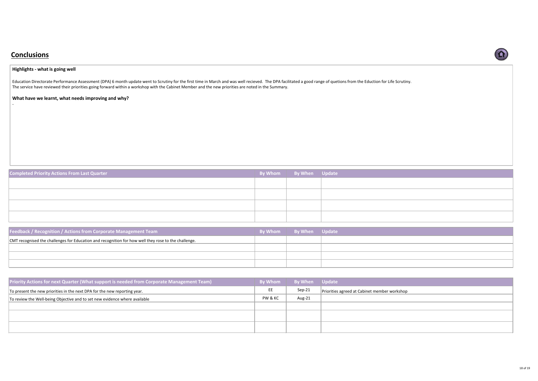| <b>Completed Priority Actions From Last Quarter</b> | By Whom By When Update |  |
|-----------------------------------------------------|------------------------|--|
|                                                     |                        |  |
|                                                     |                        |  |
|                                                     |                        |  |
|                                                     |                        |  |
|                                                     |                        |  |

| Priority Actions for next Quarter (What support is needed from Corporate Management Team) | <b>By Whom</b> | <b>By When</b> Update |                                              |
|-------------------------------------------------------------------------------------------|----------------|-----------------------|----------------------------------------------|
| To present the new priorities in the next DPA for the new reporting year.                 | EE             | Sep-21                | Priorities agreed at Cabinet member workshop |
| To review the Well-being Objective and to set new evidence where available                | PW & KC        | Aug-21                |                                              |
|                                                                                           |                |                       |                                              |
|                                                                                           |                |                       |                                              |
|                                                                                           |                |                       |                                              |



| <b>Feedback / Recognition / Actions from Corporate Management Team</b>                               | <b>Example 3 By When</b> Update |  |
|------------------------------------------------------------------------------------------------------|---------------------------------|--|
| CMT recognised the challenges for Education and recognition for how well they rose to the challenge. |                                 |  |
|                                                                                                      |                                 |  |
|                                                                                                      |                                 |  |
|                                                                                                      |                                 |  |

# **Conclusions**

# **Highlights - what is going well**

Education Directorate Performance Assessment (DPA) 6 month update went to Scrutiny for the first time in March and was well recieved. The DPA facilitated a good range of quetions from the Eduction for Life Scrutiny. The service have reviewed their priorities going forward within a workshop with the Cabinet Member and the new priorities are noted in the Summary.

# **What have we learnt, what needs improving and why?**

-